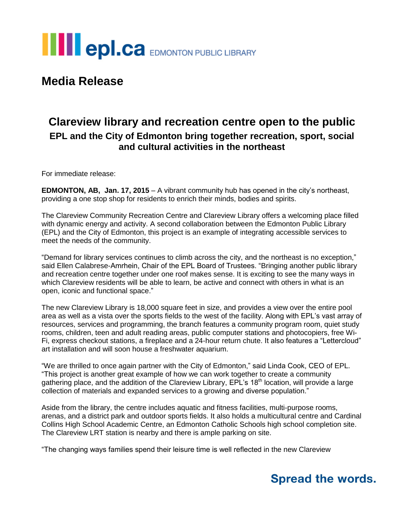

**Media Release**

### **Clareview library and recreation centre open to the public EPL and the City of Edmonton bring together recreation, sport, social and cultural activities in the northeast**

For immediate release:

**EDMONTON, AB, Jan. 17, 2015** – A vibrant community hub has opened in the city's northeast, providing a one stop shop for residents to enrich their minds, bodies and spirits.

The Clareview Community Recreation Centre and Clareview Library offers a welcoming place filled with dynamic energy and activity. A second collaboration between the Edmonton Public Library (EPL) and the City of Edmonton, this project is an example of integrating accessible services to meet the needs of the community.

"Demand for library services continues to climb across the city, and the northeast is no exception," said Ellen Calabrese-Amrhein, Chair of the EPL Board of Trustees. "Bringing another public library and recreation centre together under one roof makes sense. It is exciting to see the many ways in which Clareview residents will be able to learn, be active and connect with others in what is an open, iconic and functional space."

The new Clareview Library is 18,000 square feet in size, and provides a view over the entire pool area as well as a vista over the sports fields to the west of the facility. Along with EPL's vast array of resources, services and programming, the branch features a community program room, quiet study rooms, children, teen and adult reading areas, public computer stations and photocopiers, free Wi-Fi, express checkout stations, a fireplace and a 24-hour return chute. It also features a "Lettercloud" art installation and will soon house a freshwater aquarium.

"We are thrilled to once again partner with the City of Edmonton," said Linda Cook, CEO of EPL. "This project is another great example of how we can work together to create a community gathering place, and the addition of the Clareview Library,  $EPL$ 's 18<sup>th</sup> location, will provide a large collection of materials and expanded services to a growing and diverse population."

Aside from the library, the centre includes aquatic and fitness facilities, multi-purpose rooms, arenas, and a district park and outdoor sports fields. It also holds a multicultural centre and Cardinal Collins High School Academic Centre, an Edmonton Catholic Schools high school completion site. The Clareview LRT station is nearby and there is ample parking on site.

"The changing ways families spend their leisure time is well reflected in the new Clareview

## **Spread the words.**